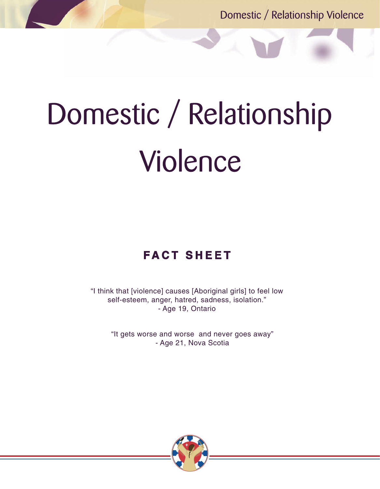Domestic / Relationship Violence

# Domestic / Relationship Violence

# **F A C T S H E E T**

"I think that [violence] causes [Aboriginal girls] to feel low self-esteem, anger, hatred, sadness, isolation." - Age 19, Ontario

> "It gets worse and worse and never goes away" - Age 21, Nova Scotia

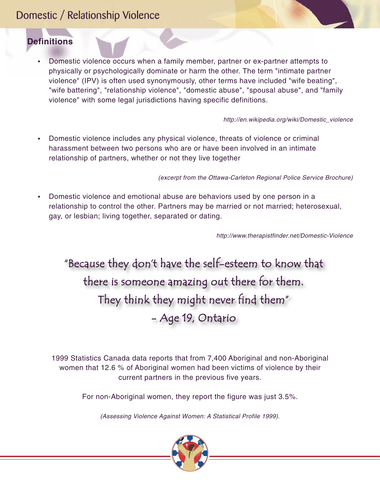# Domestic / Relationship Violence

# **Definitions**

• Domestic violence occurs when a family member, partner or ex-partner attempts to physically or psychologically dominate or harm the other. The term "intimate partner violence" (IPV) is often used synonymously, other terms have included "wife beating", "wife battering", "relationship violence", "domestic abuse", "spousal abuse", and "family violence" with some legal jurisdictions having specific definitions.

*http://en.wikipedia.org/wiki/Domestic\_violence*

• Domestic violence includes any physical violence, threats of violence or criminal harassment between two persons who are or have been involved in an intimate relationship of partners, whether or not they live together

*(excerpt from the Ottawa-Carleton Regional Police Service Brochure)*

• Domestic violence and emotional abuse are behaviors used by one person in a relationship to control the other. Partners may be married or not married; heterosexual, gay, or lesbian; living together, separated or dating.

*http://www.therapistfinder.net/Domestic-Violence* 

"Because they don't have the self-esteem to know that there is someone amazing out there for them. They think they might never find them" - Age 19, Ontario

1999 Statistics Canada data reports that from 7,400 Aboriginal and non-Aboriginal women that 12.6 % of Aboriginal women had been victims of violence by their current partners in the previous five years.

For non-Aboriginal women, they report the figure was just 3.5%.

*(Assessing Violence Against Women: A Statistical Profile 1999).*

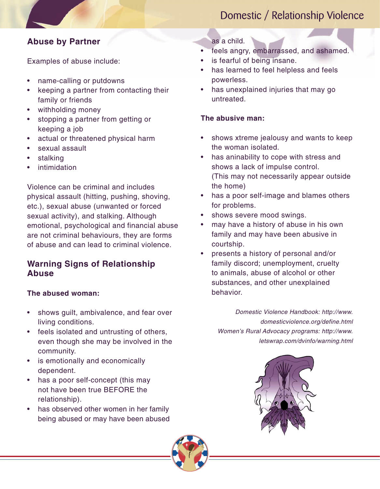# Domestic / Relationship Violence

# **Abuse by Partner**

Examples of abuse include:

- name-calling or putdowns
- keeping a partner from contacting their family or friends
- withholding money
- stopping a partner from getting or keeping a job
- actual or threatened physical harm
- sexual assault
- **stalking**
- **intimidation**

Violence can be criminal and includes physical assault (hitting, pushing, shoving, etc.), sexual abuse (unwanted or forced sexual activity), and stalking. Although emotional, psychological and financial abuse are not criminal behaviours, they are forms of abuse and can lead to criminal violence.

# **Warning Signs of Relationship Abuse**

### **The abused woman:**

- shows guilt, ambivalence, and fear over living conditions.
- feels isolated and untrusting of others, even though she may be involved in the community.
- is emotionally and economically dependent.
- has a poor self-concept (this may not have been true BEFORE the relationship).
- has observed other women in her family being abused or may have been abused

### as a child.

- feels angry, embarrassed, and ashamed.
- is fearful of being insane.
- has learned to feel helpless and feels powerless.
- has unexplained injuries that may go untreated.

### **The abusive man:**

- shows xtreme jealousy and wants to keep the woman isolated.
- has aninability to cope with stress and shows a lack of impulse control. (This may not necessarily appear outside the home)
- has a poor self-image and blames others for problems.
- shows severe mood swings.
- may have a history of abuse in his own family and may have been abusive in courtship.
- presents a history of personal and/or family discord; unemployment, cruelty to animals, abuse of alcohol or other substances, and other unexplained behavior.

*Domestic Violence Handbook: http://www. domesticviolence.org/define.html Women's Rural Advocacy programs: http://www. letswrap.com/dvinfo/warning.html*